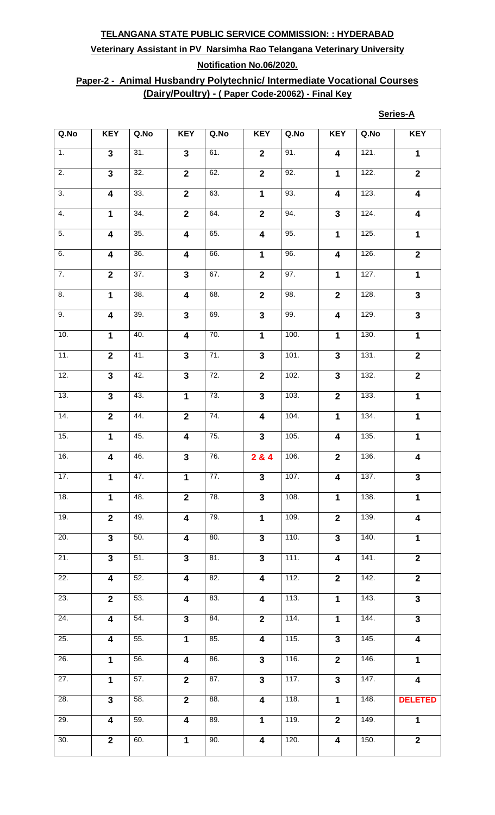# **Veterinary Assistant in PV Narsimha Rao Telangana Veterinary University Notification No.06/2020.**

## **Paper-2 - Animal Husbandry Polytechnic/ Intermediate Vocational Courses (Dairy/Poultry) - ( Paper Code-20062) - Final Key**

| eries- |
|--------|
|--------|

| Q.No              | <b>KEY</b>              | Q.No | <b>KEY</b>              | Q.No              | <b>KEY</b>              | Q.No | <b>KEY</b>              | Q.No | <b>KEY</b>              |
|-------------------|-------------------------|------|-------------------------|-------------------|-------------------------|------|-------------------------|------|-------------------------|
| 1.                | $\overline{3}$          | 31.  | $\mathbf{3}$            | 61.               | $\mathbf{2}$            | 91.  | $\overline{\mathbf{4}}$ | 121. | $\mathbf 1$             |
| $\overline{2}$ .  | $\overline{\mathbf{3}}$ | 32.  | $\overline{2}$          | 62.               | $\overline{\mathbf{2}}$ | 92.  | $\mathbf{1}$            | 122. | $\overline{2}$          |
| $\overline{3}$ .  | $\overline{\mathbf{4}}$ | 33.  | $\overline{2}$          | 63.               | $\mathbf 1$             | 93.  | $\overline{\mathbf{4}}$ | 123. | $\overline{\mathbf{4}}$ |
| 4.                | $\overline{1}$          | 34.  | $\overline{2}$          | 64.               | $\overline{\mathbf{2}}$ | 94.  | $\mathbf{3}$            | 124. | $\overline{\mathbf{4}}$ |
| $\overline{5}$ .  | $\overline{4}$          | 35.  | $\overline{4}$          | 65.               | $\overline{4}$          | 95.  | $\mathbf 1$             | 125. | $\mathbf 1$             |
| 6.                | $\overline{4}$          | 36.  | $\overline{4}$          | 66.               | $\overline{1}$          | 96.  | $\overline{4}$          | 126. | $\overline{2}$          |
| $\overline{7}$ .  | $\overline{2}$          | 37.  | $\overline{\mathbf{3}}$ | 67.               | $\overline{2}$          | 97.  | $\overline{1}$          | 127. | $\mathbf{1}$            |
| 8.                | $\overline{1}$          | 38.  | $\overline{4}$          | 68.               | $\overline{2}$          | 98.  | $\overline{\mathbf{2}}$ | 128. | $\overline{\mathbf{3}}$ |
| 9.                | $\overline{4}$          | 39.  | $\overline{\mathbf{3}}$ | 69.               | $\overline{\mathbf{3}}$ | 99.  | $\overline{4}$          | 129. | $\overline{\mathbf{3}}$ |
| 10.               | $\overline{1}$          | 40.  | $\overline{\mathbf{4}}$ | 70.               | $\mathbf{1}$            | 100. | $\mathbf 1$             | 130. | $\mathbf 1$             |
| 11.               | $\overline{2}$          | 41.  | $\overline{\mathbf{3}}$ | 71.               | $\overline{\mathbf{3}}$ | 101. | $\overline{3}$          | 131. | $\overline{2}$          |
| 12.               | $\overline{\mathbf{3}}$ | 42.  | $\overline{3}$          | 72.               | $\overline{2}$          | 102. | $\overline{\mathbf{3}}$ | 132. | $\overline{2}$          |
| 13.               | $\overline{\mathbf{3}}$ | 43.  | $\mathbf{1}$            | $\overline{73}$ . | $\overline{3}$          | 103. | $\overline{\mathbf{2}}$ | 133. | $\mathbf 1$             |
| 14.               | $\overline{2}$          | 44.  | $\overline{2}$          | 74.               | $\overline{4}$          | 104. | $\overline{1}$          | 134. | $\mathbf 1$             |
| 15.               | $\overline{1}$          | 45.  | $\overline{\mathbf{4}}$ | 75.               | $\overline{3}$          | 105. | $\overline{\mathbf{4}}$ | 135. | $\mathbf 1$             |
| 16.               | 4                       | 46.  | $\mathbf{3}$            | 76.               | 284                     | 106. | $\overline{2}$          | 136. | 4                       |
| 17.               | $\overline{1}$          | 47.  | $\overline{1}$          | $\overline{77}$ . | $\overline{3}$          | 107. | $\overline{\mathbf{4}}$ | 137. | $\overline{\mathbf{3}}$ |
| 18.               | $\mathbf{1}$            | 48.  | $\overline{2}$          | 78.               | $\mathbf{3}$            | 108. | $\mathbf{1}$            | 138. | $\mathbf{1}$            |
| 19.               | $\overline{2}$          | 49.  | $\overline{4}$          | 79.               | $\mathbf{1}$            | 109. | $\overline{2}$          | 139. | $\overline{\mathbf{4}}$ |
| 20.               | $\overline{3}$          | 50.  | $\overline{4}$          | 80.               | $\overline{3}$          | 110. | $\overline{3}$          | 140. | $\mathbf 1$             |
| 21.               | $\overline{\mathbf{3}}$ | 51.  | $\overline{3}$          | 81.               | $\overline{3}$          | 111. | $\overline{\mathbf{4}}$ | 141. | $\overline{2}$          |
| 22.               | $\overline{\mathbf{4}}$ | 52.  | $\overline{\mathbf{4}}$ | 82.               | $\overline{\mathbf{4}}$ | 112. | $\mathbf{2}$            | 142. | $\overline{2}$          |
| 23.               | $\overline{2}$          | 53.  | $\overline{\mathbf{4}}$ | 83.               | $\overline{\mathbf{4}}$ | 113. | $\mathbf{1}$            | 143. | $\overline{\mathbf{3}}$ |
| $\overline{24}$ . | $\overline{4}$          | 54.  | $\overline{3}$          | 84.               | $\overline{2}$          | 114. | $\overline{1}$          | 144. | $\overline{\mathbf{3}}$ |
| 25.               | $\overline{4}$          | 55.  | $\overline{1}$          | 85.               | $\overline{\mathbf{4}}$ | 115. | $\overline{3}$          | 145. | $\overline{\mathbf{4}}$ |
| 26.               | $\mathbf{1}$            | 56.  | $\overline{\mathbf{4}}$ | 86.               | $\overline{3}$          | 116. | $\overline{2}$          | 146. | $\mathbf 1$             |
| 27.               | $\overline{1}$          | 57.  | $\overline{2}$          | 87.               | $\overline{\mathbf{3}}$ | 117. | $\overline{\mathbf{3}}$ | 147. | $\overline{\mathbf{4}}$ |
| 28.               | $\overline{\mathbf{3}}$ | 58.  | $\overline{2}$          | 88.               | $\overline{\mathbf{4}}$ | 118. | $\mathbf 1$             | 148. | <b>DELETED</b>          |
| 29.               | $\overline{\mathbf{4}}$ | 59.  | $\overline{\mathbf{4}}$ | 89.               | $\mathbf{1}$            | 119. | $\overline{2}$          | 149. | $\mathbf 1$             |
| 30.               | $\overline{2}$          | 60.  | $\overline{\mathbf{1}}$ | 90.               | $\overline{\mathbf{4}}$ | 120. | $\overline{\mathbf{4}}$ | 150. | $\overline{2}$          |
|                   |                         |      |                         |                   |                         |      |                         |      |                         |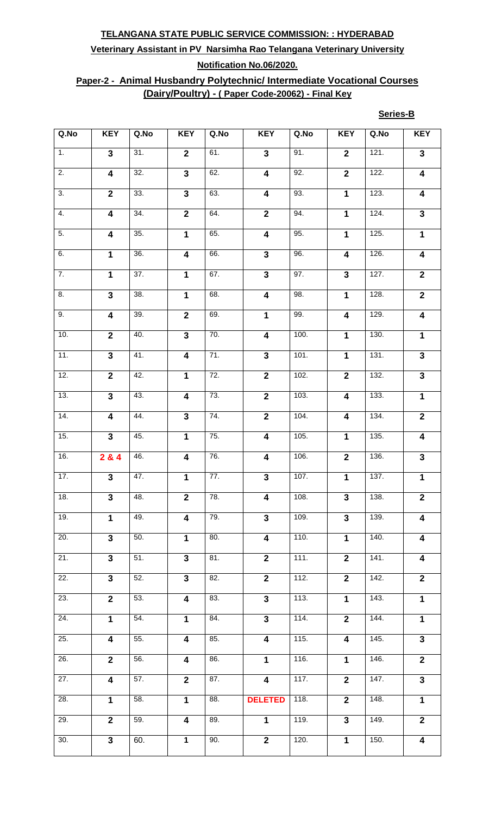# **Veterinary Assistant in PV Narsimha Rao Telangana Veterinary University Notification No.06/2020.**

## **Paper-2 - Animal Husbandry Polytechnic/ Intermediate Vocational Courses (Dairy/Poultry) - ( Paper Code-20062) - Final Key**

#### **Series-B**

| Q.No              | <b>KEY</b>              | Q.No              | <b>KEY</b>              | Q.No              | <b>KEY</b>              | Q.No               | <b>KEY</b>              | Q.No | <b>KEY</b>              |
|-------------------|-------------------------|-------------------|-------------------------|-------------------|-------------------------|--------------------|-------------------------|------|-------------------------|
| 1.                | $\overline{3}$          | $\overline{31}$ . | $\overline{2}$          | 61.               | $\overline{3}$          | 91.                | $\overline{2}$          | 121. | $\overline{\mathbf{3}}$ |
| $\overline{2}$ .  | $\overline{\mathbf{4}}$ | 32.               | $\overline{\mathbf{3}}$ | 62.               | $\overline{\mathbf{4}}$ | 92.                | $\overline{2}$          | 122. | $\overline{\mathbf{4}}$ |
| $\overline{3}$ .  | $\overline{2}$          | $\overline{33}$ . | $\overline{\mathbf{3}}$ | 63.               | $\overline{4}$          | 93.                | $\overline{1}$          | 123. | $\overline{\mathbf{4}}$ |
| 4.                | $\overline{\mathbf{4}}$ | $\overline{34}$ . | $\overline{2}$          | 64.               | $\overline{2}$          | $\overline{94}$ .  | $\mathbf{1}$            | 124. | $\overline{\mathbf{3}}$ |
| $\overline{5}$ .  | $\overline{\mathbf{4}}$ | 35.               | $\overline{1}$          | 65.               | $\overline{4}$          | 95.                | $\mathbf 1$             | 125. | $\overline{1}$          |
| 6.                | $\overline{1}$          | 36.               | $\overline{4}$          | 66.               | $\overline{3}$          | 96.                | $\overline{\mathbf{4}}$ | 126. | $\boldsymbol{4}$        |
| $\overline{7}$ .  | $\overline{1}$          | $\overline{37}$ . | $\overline{1}$          | 67.               | $\overline{\mathbf{3}}$ | 97.                | $\overline{\mathbf{3}}$ | 127. | $\overline{\mathbf{2}}$ |
| 8.                | $\overline{\mathbf{3}}$ | $\overline{38}$ . | $\mathbf{1}$            | 68.               | $\overline{\mathbf{4}}$ | 98.                | $\mathbf{1}$            | 128. | $\overline{2}$          |
| 9.                | $\overline{4}$          | 39.               | $\overline{2}$          | 69.               | $\overline{1}$          | 99.                | $\overline{4}$          | 129. | $\overline{4}$          |
| 10.               | $\overline{2}$          | $\overline{40}$ . | $\overline{\mathbf{3}}$ | 70.               | $\overline{4}$          | 100.               | $\overline{1}$          | 130. | $\overline{1}$          |
| $\overline{11}$ . | $\overline{3}$          | 41.               | $\overline{4}$          | 71.               | $\overline{3}$          | 101.               | $\overline{1}$          | 131. | $\overline{\mathbf{3}}$ |
| 12.               | $\overline{2}$          | 42.               | $\mathbf{1}$            | 72.               | $\overline{2}$          | 102.               | $\overline{2}$          | 132. | $\overline{\mathbf{3}}$ |
| 13.               | $\overline{\mathbf{3}}$ | 43.               | 4                       | 73.               | $\overline{2}$          | 103.               | $\overline{\mathbf{4}}$ | 133. | $\mathbf 1$             |
| 14.               | $\overline{\mathbf{4}}$ | 44.               | $\overline{\mathbf{3}}$ | 74.               | $\overline{2}$          | 104.               | $\overline{\mathbf{4}}$ | 134. | $\mathbf{2}$            |
| 15.               | $\overline{3}$          | 45.               | $\overline{1}$          | 75.               | $\overline{4}$          | 105.               | $\mathbf 1$             | 135. | 4                       |
| 16.               | 284                     | 46.               | 4                       | 76.               | $\boldsymbol{4}$        | 106.               | $\mathbf 2$             | 136. | $\mathbf{3}$            |
| 17.               | $\overline{3}$          | $\overline{47}$ . | $\overline{1}$          | 77.               | $\overline{3}$          | 107.               | $\mathbf{1}$            | 137. | $\mathbf 1$             |
| 18.               | $\overline{3}$          | 48.               | $\overline{2}$          | 78.               | $\overline{\mathbf{4}}$ | 108.               | $\overline{\mathbf{3}}$ | 138. | $\overline{\mathbf{2}}$ |
| 19.               | $\overline{1}$          | 49.               | $\overline{\mathbf{4}}$ | 79.               | $\overline{\mathbf{3}}$ | 109.               | $\overline{\mathbf{3}}$ | 139. | $\overline{\mathbf{4}}$ |
| 20.               | $\overline{\mathbf{3}}$ | 50.               | $\overline{1}$          | 80.               | $\overline{4}$          | 110.               | $\mathbf 1$             | 140. | $\overline{\mathbf{4}}$ |
| 21.               | $\overline{3}$          | $\overline{51}$ . | $\overline{\mathbf{3}}$ | $\overline{81}$ . | $\overline{\mathbf{2}}$ | $\overline{111}$ . | $\overline{2}$          | 141. | $\overline{\mathbf{4}}$ |
| 22.               | $\overline{\mathbf{3}}$ | 52.               | $\overline{\mathbf{3}}$ | 82.               | $\overline{2}$          | 112.               | $\overline{2}$          | 142. | $\mathbf{2}$            |
| 23.               | $\overline{2}$          | 53.               | $\overline{\mathbf{4}}$ | 83.               | $\overline{3}$          | 113.               | $\overline{1}$          | 143. | $\mathbf{1}$            |
| $\overline{24}$ . | $\overline{1}$          | 54.               | $\overline{1}$          | 84.               | $\overline{\mathbf{3}}$ | 114.               | $\overline{2}$          | 144. | $\overline{1}$          |
| 25.               | $\overline{\mathbf{4}}$ | 55.               | $\overline{\mathbf{4}}$ | 85.               | $\overline{4}$          | 115.               | $\overline{\mathbf{4}}$ | 145. | $\overline{\mathbf{3}}$ |
| 26.               | $\overline{2}$          | 56.               | $\overline{4}$          | 86.               | 1                       | 116.               | $\mathbf{1}$            | 146. | $\overline{2}$          |
| 27.               | $\overline{\mathbf{4}}$ | 57.               | $\overline{2}$          | 87.               | $\overline{4}$          | 117.               | $\overline{2}$          | 147. | $\overline{3}$          |
| 28.               | $\mathbf{1}$            | 58.               | $\mathbf{1}$            | 88.               | <b>DELETED</b>          | 118.               | $\overline{\mathbf{2}}$ | 148. | $\mathbf 1$             |
| 29.               | $\overline{2}$          | 59.               | $\overline{\mathbf{4}}$ | 89.               | $\mathbf{1}$            | 119.               | $\overline{\mathbf{3}}$ | 149. | $\overline{2}$          |
| 30.               | $\overline{\mathbf{3}}$ | 60.               | $\overline{1}$          | 90.               | $\overline{2}$          | 120.               | $\overline{1}$          | 150. | $\overline{\mathbf{4}}$ |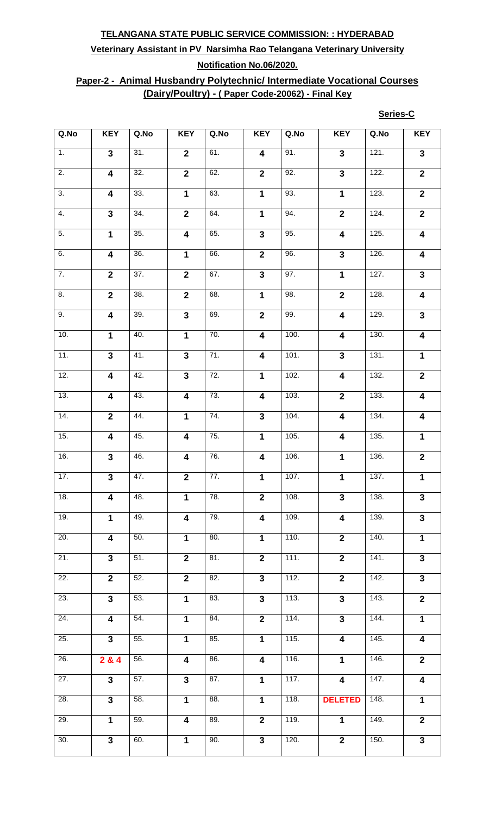# **Veterinary Assistant in PV Narsimha Rao Telangana Veterinary University Notification No.06/2020.**

## **Paper-2 - Animal Husbandry Polytechnic/ Intermediate Vocational Courses (Dairy/Poultry) - ( Paper Code-20062) - Final Key**

#### **Series-C**

| Q.No              | <b>KEY</b>              | Q.No              | <b>KEY</b>              | Q.No              | <b>KEY</b>              | Q.No               | <b>KEY</b>              | Q.No               | <b>KEY</b>              |
|-------------------|-------------------------|-------------------|-------------------------|-------------------|-------------------------|--------------------|-------------------------|--------------------|-------------------------|
| $\overline{1}$ .  | $\overline{3}$          | 31.               | $\overline{2}$          | 61.               | $\overline{\mathbf{4}}$ | 91.                | $\overline{3}$          | 121.               | $\overline{\mathbf{3}}$ |
| $\overline{2}$ .  | $\overline{\mathbf{4}}$ | 32.               | $\overline{2}$          | 62.               | $\mathbf{2}$            | 92.                | $\overline{\mathbf{3}}$ | 122.               | $\overline{2}$          |
| $\overline{3}$ .  | $\overline{4}$          | 33.               | $\overline{1}$          | 63.               | $\overline{1}$          | 93.                | $\overline{1}$          | 123.               | $\overline{2}$          |
| 4.                | $\overline{\mathbf{3}}$ | 34.               | $\overline{2}$          | 64.               | $\mathbf{1}$            | 94.                | $\overline{2}$          | 124.               | $\overline{2}$          |
| 5.                | $\overline{1}$          | 35.               | $\overline{\mathbf{4}}$ | 65.               | $\overline{\mathbf{3}}$ | 95.                | $\overline{\mathbf{4}}$ | 125.               | $\overline{4}$          |
| 6.                | $\overline{4}$          | 36.               | $\overline{1}$          | 66.               | $\overline{2}$          | 96.                | $\overline{\mathbf{3}}$ | 126.               | $\overline{\mathbf{4}}$ |
| $\overline{7}$ .  | $\overline{2}$          | 37.               | $\overline{2}$          | 67.               | $\overline{3}$          | 97.                | $\overline{1}$          | 127.               | $\overline{\mathbf{3}}$ |
| $\overline{8}$ .  | $\overline{2}$          | 38.               | $\overline{2}$          | 68.               | $\overline{1}$          | 98.                | $\overline{2}$          | 128.               | $\overline{\mathbf{4}}$ |
| 9.                | $\overline{4}$          | 39.               | $\overline{3}$          | 69.               | $\overline{2}$          | 99.                | $\overline{4}$          | 129.               | $\overline{\mathbf{3}}$ |
| 10.               | $\overline{1}$          | $\overline{40}$ . | $\overline{1}$          | 70.               | $\overline{4}$          | 100.               | $\overline{\mathbf{4}}$ | 130.               | $\overline{\mathbf{4}}$ |
| 11.               | $\overline{3}$          | 41.               | $\overline{\mathbf{3}}$ | 71.               | $\overline{4}$          | 101.               | $\overline{3}$          | 131.               | $\mathbf 1$             |
| 12.               | $\overline{\mathbf{4}}$ | 42.               | $\overline{3}$          | 72.               | $\mathbf 1$             | 102.               | $\overline{\mathbf{4}}$ | 132.               | $\overline{2}$          |
| 13.               | $\overline{\mathbf{4}}$ | 43.               | $\overline{\mathbf{4}}$ | 73.               | $\overline{\mathbf{4}}$ | 103.               | $\overline{2}$          | 133.               | $\overline{\mathbf{4}}$ |
| 14.               | $\overline{2}$          | 44.               | $\mathbf{1}$            | 74.               | $\overline{3}$          | 104.               | $\overline{\mathbf{4}}$ | 134.               | $\boldsymbol{4}$        |
| $\overline{15}$ . | $\overline{4}$          | 45.               | $\overline{\mathbf{4}}$ | $\overline{75}$ . | $\mathbf 1$             | 105.               | 4                       | 135.               | $\overline{1}$          |
| 16.               | $\mathbf{3}$            | 46.               | 4                       | 76.               | $\overline{\mathbf{4}}$ | $\overline{106}$ . | $\mathbf 1$             | 136.               | $\mathbf{2}$            |
| $\overline{17}$ . | $\overline{\mathbf{3}}$ | 47.               | $\overline{2}$          | 77.               | $\mathbf{1}$            | 107.               | $\mathbf{1}$            | 137.               | $\mathbf 1$             |
| 18.               | $\overline{\mathbf{4}}$ | 48.               | $\mathbf{1}$            | 78.               | $\overline{2}$          | 108.               | $\overline{\mathbf{3}}$ | 138.               | $\overline{3}$          |
| 19.               | $\mathbf{1}$            | 49.               | $\overline{\mathbf{4}}$ | 79.               | $\overline{\mathbf{4}}$ | 109.               | $\overline{\mathbf{4}}$ | 139.               | $\mathbf{3}$            |
| 20.               | $\overline{4}$          | 50.               | $\overline{1}$          | 80.               | $\overline{1}$          | 110.               | $\overline{2}$          | 140.               | $\overline{1}$          |
| 21.               | $\overline{3}$          | 51.               | $\overline{2}$          | 81.               | $\overline{2}$          | 111.               | $\overline{2}$          | 141.               | $\overline{3}$          |
| 22.               | $\overline{\mathbf{2}}$ | 52.               | $\overline{2}$          | 82.               | $\mathbf{3}$            | 112.               | $\overline{2}$          | 142.               | $\mathbf{3}$            |
| 23.               | $\overline{3}$          | 53.               | $\overline{1}$          | 83.               | $\overline{3}$          | 113.               | $\overline{3}$          | 143.               | $\overline{2}$          |
| 24.               | $\overline{4}$          | 54.               | $\overline{1}$          | 84.               | $\overline{2}$          | 114.               | $\overline{3}$          | 144.               | $\overline{1}$          |
| $\overline{25}$ . | $\overline{\mathbf{3}}$ | 55.               | $\overline{1}$          | 85.               | $\overline{1}$          | 115.               | $\overline{\mathbf{4}}$ | 145.               | $\overline{\mathbf{4}}$ |
| 26.               | 284                     | 56.               | $\overline{\mathbf{4}}$ | 86.               | $\overline{\mathbf{4}}$ | 116.               | $\mathbf{1}$            | 146.               | $\overline{2}$          |
| $\overline{27}$ . | $\overline{\mathbf{3}}$ | 57.               | $\mathbf{3}$            | 87.               | $\mathbf{1}$            | 117.               | $\boldsymbol{4}$        | 147.               | $\overline{\mathbf{4}}$ |
| 28.               | $\overline{\mathbf{3}}$ | 58.               | $\mathbf{1}$            | 88.               | $\mathbf{1}$            | 118.               | <b>DELETED</b>          | $\overline{148}$ . | $\mathbf{1}$            |
| 29.               | $\mathbf{1}$            | 59.               | $\overline{\mathbf{4}}$ | 89.               | $\overline{2}$          | 119.               | $\mathbf{1}$            | 149.               | $\overline{2}$          |
| 30.               | $\overline{3}$          | 60.               | $\overline{1}$          | 90.               | $\overline{3}$          | 120.               | $\overline{2}$          | 150.               | $\overline{3}$          |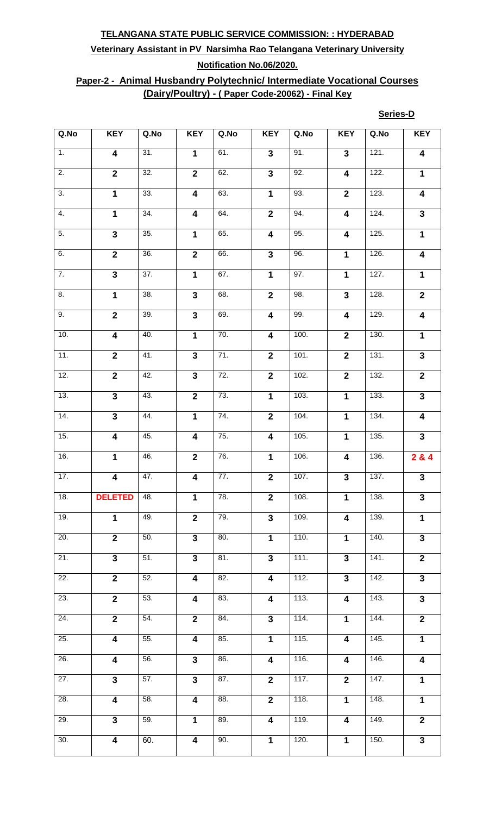# **Veterinary Assistant in PV Narsimha Rao Telangana Veterinary University Notification No.06/2020.**

## **Paper-2 - Animal Husbandry Polytechnic/ Intermediate Vocational Courses (Dairy/Poultry) - ( Paper Code-20062) - Final Key**

#### **Series-D**

| Q.No              | <b>KEY</b>              | Q.No              | <b>KEY</b>              | Q.No              | <b>KEY</b>              | Q.No | <b>KEY</b>              | Q.No               | <b>KEY</b>              |
|-------------------|-------------------------|-------------------|-------------------------|-------------------|-------------------------|------|-------------------------|--------------------|-------------------------|
| $\overline{1}$ .  | $\overline{\mathbf{4}}$ | 31.               | $\overline{1}$          | 61.               | $\overline{\mathbf{3}}$ | 91.  | $\overline{\mathbf{3}}$ | 121.               | $\overline{\mathbf{4}}$ |
| $\overline{2}$ .  | $\overline{\mathbf{2}}$ | 32.               | $\overline{2}$          | 62.               | $\overline{\mathbf{3}}$ | 92.  | $\overline{\mathbf{4}}$ | 122.               | $\mathbf 1$             |
| $\overline{3}$ .  | $\overline{1}$          | 33.               | $\overline{4}$          | 63.               | $\overline{1}$          | 93.  | $\overline{2}$          | 123.               | $\overline{4}$          |
| 4.                | $\mathbf{1}$            | 34.               | $\overline{\mathbf{4}}$ | 64.               | $\overline{2}$          | 94.  | $\overline{\mathbf{4}}$ | 124.               | $\overline{\mathbf{3}}$ |
| 5.                | $\overline{\mathbf{3}}$ | 35.               | $\overline{1}$          | 65.               | $\overline{\mathbf{4}}$ | 95.  | $\overline{\mathbf{4}}$ | 125.               | $\overline{1}$          |
| 6.                | $\overline{2}$          | 36.               | $\overline{2}$          | 66.               | $\overline{3}$          | 96.  | $\overline{1}$          | 126.               | $\overline{4}$          |
| $\overline{7}$ .  | $\overline{\mathbf{3}}$ | $\overline{37}$ . | $\overline{1}$          | 67.               | $\mathbf{1}$            | 97.  | $\mathbf 1$             | 127.               | $\mathbf 1$             |
| $\overline{8}$ .  | $\overline{1}$          | 38.               | $\overline{\mathbf{3}}$ | 68.               | $\overline{2}$          | 98.  | $\overline{\mathbf{3}}$ | 128.               | $\overline{2}$          |
| 9.                | $\overline{2}$          | 39.               | $\overline{\mathbf{3}}$ | 69.               | $\overline{4}$          | 99.  | $\overline{\mathbf{4}}$ | 129.               | 4                       |
| 10.               | $\overline{4}$          | 40.               | $\overline{1}$          | 70.               | $\overline{4}$          | 100. | $\overline{2}$          | 130.               | $\overline{1}$          |
| 11.               | $\overline{2}$          | $\overline{41}$ . | $\overline{\mathbf{3}}$ | 71.               | $\overline{2}$          | 101. | $\overline{2}$          | 131.               | $\overline{\mathbf{3}}$ |
| 12.               | $\overline{\mathbf{2}}$ | 42.               | $\overline{\mathbf{3}}$ | 72.               | $\overline{\mathbf{2}}$ | 102. | $\overline{2}$          | 132.               | $\overline{2}$          |
| 13.               | $\overline{\mathbf{3}}$ | 43.               | $\overline{2}$          | 73.               | $\overline{1}$          | 103. | $\overline{1}$          | 133.               | $\overline{\mathbf{3}}$ |
| 14.               | $\overline{\mathbf{3}}$ | 44.               | $\overline{1}$          | 74.               | $\mathbf{2}$            | 104. | $\overline{1}$          | 134.               | $\overline{4}$          |
| 15.               | $\overline{4}$          | 45.               | $\overline{\mathbf{4}}$ | $\overline{75}$ . | $\overline{\mathbf{4}}$ | 105. | $\overline{1}$          | 135.               | $\overline{3}$          |
| $\overline{16}$ . | $\mathbf{1}$            | 46.               | $\overline{2}$          | $\overline{76}$ . | $\overline{1}$          | 106. | $\overline{\mathbf{4}}$ | 136.               | 284                     |
| 17.               | $\overline{\mathbf{4}}$ | 47.               | $\overline{\mathbf{4}}$ | 77.               | $\mathbf{2}$            | 107. | $\overline{\mathbf{3}}$ | 137.               | $\overline{3}$          |
| 18.               | <b>DELETED</b>          | 48.               | $\overline{1}$          | 78.               | $\overline{2}$          | 108. | $\mathbf{1}$            | 138.               | $\overline{3}$          |
| 19.               | $\mathbf{1}$            | 49.               | $\overline{\mathbf{2}}$ | 79.               | 3                       | 109. | $\overline{\mathbf{4}}$ | 139.               | $\mathbf{1}$            |
| 20.               | $\overline{2}$          | 50.               | $\overline{\mathbf{3}}$ | 80.               | $\overline{1}$          | 110. | $\overline{1}$          | 140.               | $\overline{\mathbf{3}}$ |
| 21.               | $\overline{3}$          | 51.               | $\overline{\mathbf{3}}$ | 81.               | $\overline{3}$          | 111. | $\overline{\mathbf{3}}$ | 141.               | $\overline{2}$          |
| 22.               | $\mathbf{2}$            | 52.               | $\overline{\mathbf{4}}$ | 82.               | 4                       | 112. | $\mathbf{3}$            | 142.               | $\mathbf{3}$            |
| 23.               | $\overline{2}$          | 53.               | $\overline{\mathbf{4}}$ | 83.               | $\overline{\mathbf{4}}$ | 113. | $\overline{\mathbf{4}}$ | 143.               | $\overline{3}$          |
| $\overline{24}$ . | $\overline{2}$          | 54.               | $\overline{2}$          | 84.               | $\overline{\mathbf{3}}$ | 114. | $\overline{1}$          | 144.               | $\overline{2}$          |
| $\overline{25}$ . | $\overline{4}$          | 55.               | $\overline{4}$          | 85.               | $\overline{1}$          | 115. | $\overline{\mathbf{4}}$ | $\overline{145}$ . | $\overline{1}$          |
| 26.               | $\overline{\mathbf{4}}$ | 56.               | $\overline{\mathbf{3}}$ | 86.               | $\overline{\mathbf{4}}$ | 116. | $\overline{\mathbf{4}}$ | 146.               | $\overline{\mathbf{4}}$ |
| $\overline{27}$ . | $\overline{\mathbf{3}}$ | 57.               | $\mathbf{3}$            | 87.               | $\mathbf{2}$            | 117. | $\overline{\mathbf{2}}$ | $\overline{147}$ . | $\mathbf 1$             |
| 28.               | $\overline{\mathbf{4}}$ | 58.               | $\overline{\mathbf{4}}$ | 88.               | $\mathbf{2}$            | 118. | $\mathbf{1}$            | 148.               | $\mathbf 1$             |
| 29.               | $\overline{\mathbf{3}}$ | 59.               | $\overline{1}$          | 89.               | $\overline{\mathbf{4}}$ | 119. | $\overline{\mathbf{4}}$ | 149.               | $\overline{2}$          |
| 30.               | $\overline{4}$          | 60.               | $\overline{4}$          | 90.               | $\overline{1}$          | 120. | $\overline{1}$          | 150.               | $\overline{3}$          |
|                   |                         |                   |                         |                   |                         |      |                         |                    |                         |